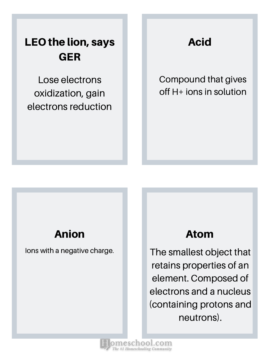# LEO the lion, says GER

Lose electrons oxidization, gain electrons reduction Acid

Compound that gives off H+ ions in solution

### Anion

Ions with a negative charge.

### Atom

The smallest object that retains properties of an element. Composed of electrons and a nucleus (containing protons and neutrons).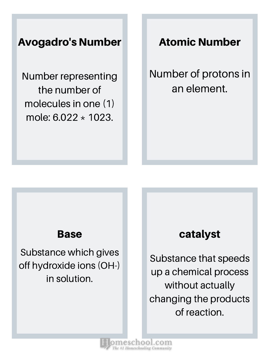### Avogadro's Number

Number representing the number of molecules in one (1) mole: 6.022 \* 1023.

Atomic Number

Number of protons in an element.

Substance which gives off hydroxide ions (OH-) in solution.

### Base and **Base** catalyst

Substance that speeds up a chemical process without actually changing the products of reaction.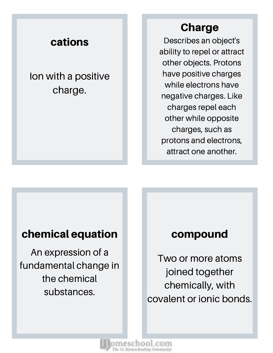### cations

Ion with a positive charge.

### Charge

Describes an object's ability to repel or attract other objects. Protons have positive charges while electrons have negative charges. Like charges repel each other while opposite charges, such as protons and electrons, attract one another.

### chemical equation **compound**

An expression of a fundamental change in the chemical substances.

Two or more atoms joined together chemically, with covalent or ionic bonds.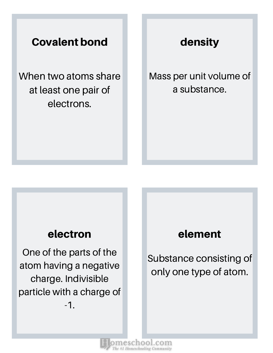### Covalent bond

When two atoms share at least one pair of electrons.

### density

Mass per unit volume of a substance.

One of the parts of the atom having a negative charge. Indivisible particle with a charge of -1.

### electron element

Substance consisting of only one type of atom.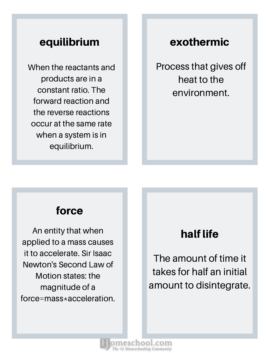### equilibrium

When the reactants and products are in a constant ratio. The forward reaction and the reverse reactions occur at the same rate when a system is in equilibrium.

### exothermic

Process that gives off heat to the environment.

### force

An entity that when applied to a mass causes it to accelerate. Sir Isaac Newton's Second Law of Motion states: the magnitude of a force=mass\*acceleration.

## half life

The amount of time it takes for half an initial amount to disintegrate.